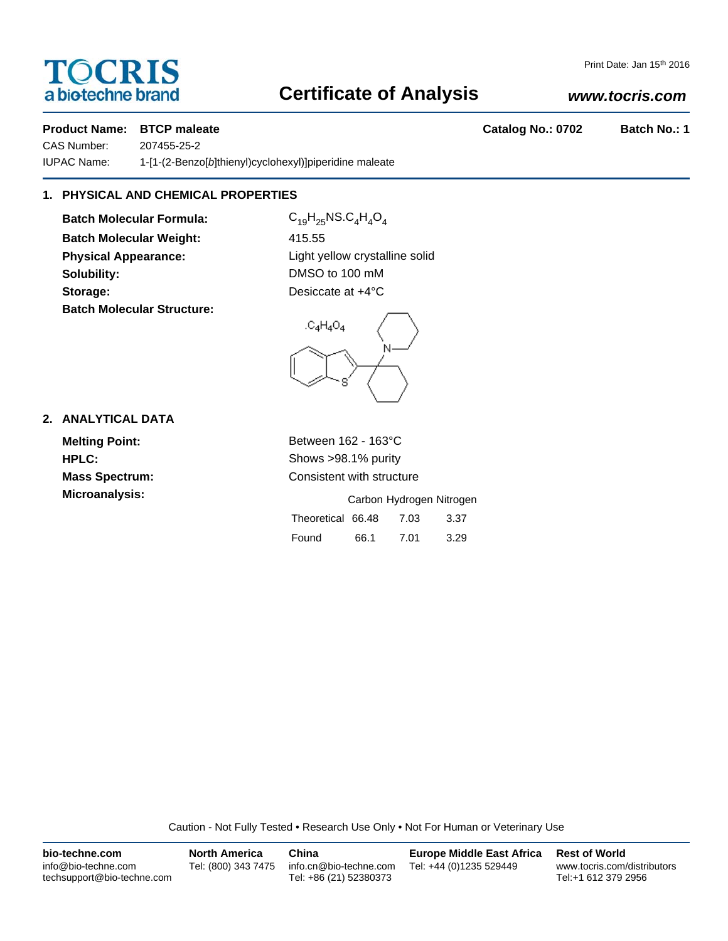# **TOCRIS** a biotechne brand

### Print Date: Jan 15th 2016

## **Certificate of Analysis**

## *www.tocris.com*

## **Product Name: BTCP maleate Catalog No.: 0702 Batch No.: 1**

CAS Number: 207455-25-2 IUPAC Name: 1-[1-(2-Benzo[*b*]thienyl)cyclohexyl)]piperidine maleate

## **1. PHYSICAL AND CHEMICAL PROPERTIES**

**Batch Molecular Formula:** C<sub>19</sub>H<sub>25</sub>NS.C<sub>4</sub>H<sub>4</sub>O<sub>4</sub> **Batch Molecular Weight:** 415.55 **Physical Appearance:** Light yellow crystalline solid **Solubility:** DMSO to 100 mM **Storage:** Desiccate at  $+4^{\circ}$ C **Batch Molecular Structure:**



## **2. ANALYTICAL DATA**

**Melting Point:** Between 162 - 163°C **HPLC:** Shows >98.1% purity **Mass Spectrum:** Consistent with structure

| <b>Microanalysis:</b> |                        |      | Carbon Hydrogen Nitrogen |      |
|-----------------------|------------------------|------|--------------------------|------|
|                       | Theoretical 66.48 7.03 |      |                          | 3.37 |
|                       | Found                  | 66.1 | 7.01                     | 3.29 |

Caution - Not Fully Tested • Research Use Only • Not For Human or Veterinary Use

| bio-techne.com                                    | <b>North America</b> | China                                            | <b>Europe Middle East Africa</b> | <b>Rest of World</b>                               |
|---------------------------------------------------|----------------------|--------------------------------------------------|----------------------------------|----------------------------------------------------|
| info@bio-techne.com<br>techsupport@bio-techne.com | Tel: (800) 343 7475  | info.cn@bio-techne.com<br>Tel: +86 (21) 52380373 | Tel: +44 (0)1235 529449          | www.tocris.com/distributors<br>Tel:+1 612 379 2956 |